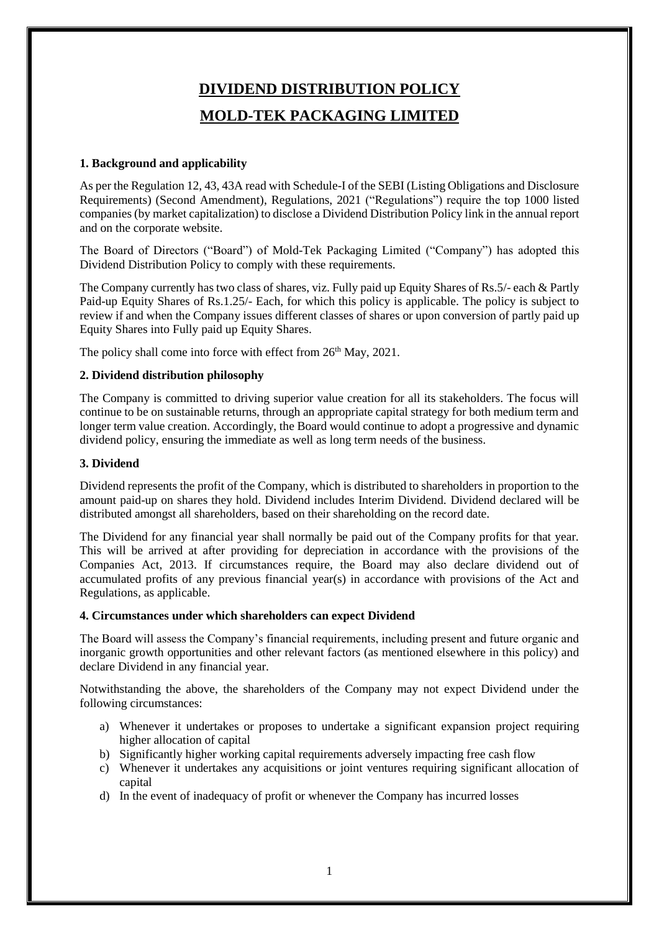# **DIVIDEND DISTRIBUTION POLICY MOLD-TEK PACKAGING LIMITED**

## **1. Background and applicability**

As per the Regulation 12, 43, 43A read with Schedule-I of the SEBI (Listing Obligations and Disclosure Requirements) (Second Amendment), Regulations, 2021 ("Regulations") require the top 1000 listed companies (by market capitalization) to disclose a Dividend Distribution Policy link in the annual report and on the corporate website.

The Board of Directors ("Board") of Mold-Tek Packaging Limited ("Company") has adopted this Dividend Distribution Policy to comply with these requirements.

The Company currently has two class of shares, viz. Fully paid up Equity Shares of Rs.5/- each & Partly Paid-up Equity Shares of Rs.1.25/- Each, for which this policy is applicable. The policy is subject to review if and when the Company issues different classes of shares or upon conversion of partly paid up Equity Shares into Fully paid up Equity Shares.

The policy shall come into force with effect from 26<sup>th</sup> May, 2021.

## **2. Dividend distribution philosophy**

The Company is committed to driving superior value creation for all its stakeholders. The focus will continue to be on sustainable returns, through an appropriate capital strategy for both medium term and longer term value creation. Accordingly, the Board would continue to adopt a progressive and dynamic dividend policy, ensuring the immediate as well as long term needs of the business.

## **3. Dividend**

Dividend represents the profit of the Company, which is distributed to shareholders in proportion to the amount paid-up on shares they hold. Dividend includes Interim Dividend. Dividend declared will be distributed amongst all shareholders, based on their shareholding on the record date.

The Dividend for any financial year shall normally be paid out of the Company profits for that year. This will be arrived at after providing for depreciation in accordance with the provisions of the Companies Act, 2013. If circumstances require, the Board may also declare dividend out of accumulated profits of any previous financial year(s) in accordance with provisions of the Act and Regulations, as applicable.

#### **4. Circumstances under which shareholders can expect Dividend**

The Board will assess the Company's financial requirements, including present and future organic and inorganic growth opportunities and other relevant factors (as mentioned elsewhere in this policy) and declare Dividend in any financial year.

Notwithstanding the above, the shareholders of the Company may not expect Dividend under the following circumstances:

- a) Whenever it undertakes or proposes to undertake a significant expansion project requiring higher allocation of capital
- b) Significantly higher working capital requirements adversely impacting free cash flow
- c) Whenever it undertakes any acquisitions or joint ventures requiring significant allocation of capital
- d) In the event of inadequacy of profit or whenever the Company has incurred losses